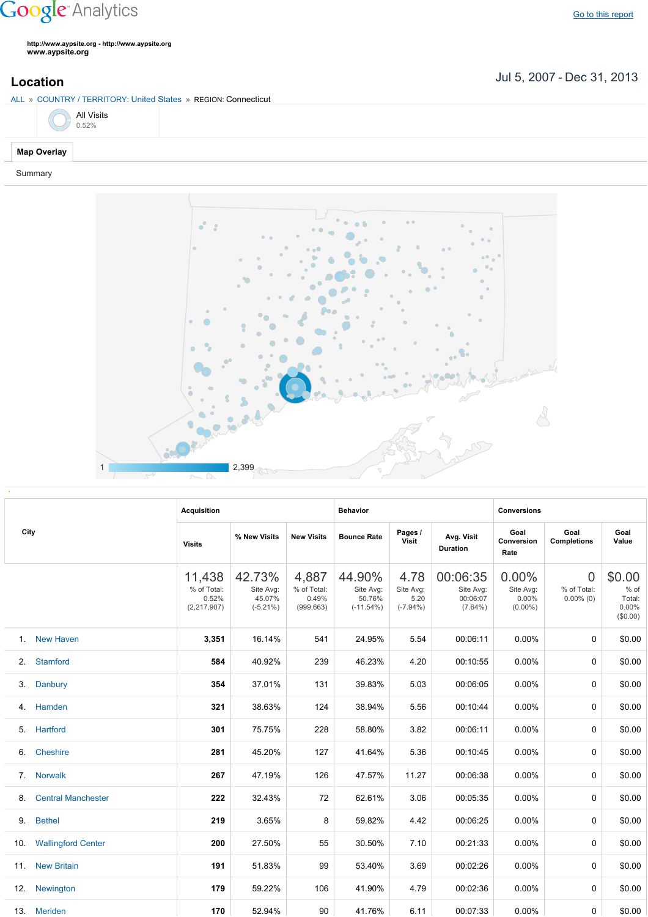## **Google** Analytics

**http://www.aypsite.org http://www.aypsite.org www.aypsite.org**

**Location** Jul 5, 2007 - Dec 31, 2013

| ALL » COUNTRY / TERRITORY: United States » REGION: Connecticut |  |
|----------------------------------------------------------------|--|
|                                                                |  |



## Summary



|      |                           | <b>Acquisition</b>                                                                                                                                                                                                                                                                                                                                                                                                                                                                                                                                                                                                                                                                                                                                                                                                                                   |        |                            | <b>Behavior</b> |       |          | <b>Conversions</b> |                                               |                                                 |  |
|------|---------------------------|------------------------------------------------------------------------------------------------------------------------------------------------------------------------------------------------------------------------------------------------------------------------------------------------------------------------------------------------------------------------------------------------------------------------------------------------------------------------------------------------------------------------------------------------------------------------------------------------------------------------------------------------------------------------------------------------------------------------------------------------------------------------------------------------------------------------------------------------------|--------|----------------------------|-----------------|-------|----------|--------------------|-----------------------------------------------|-------------------------------------------------|--|
| City |                           | Pages /<br>Goal<br>Avg. Visit<br>% New Visits<br><b>New Visits</b><br><b>Bounce Rate</b><br><b>Visit</b><br>Conversion<br><b>Visits</b><br><b>Duration</b><br>Rate<br>42.73%<br>44.90%<br>00:06:35<br>0.00%<br>11,438<br>4,887<br>4.78<br>% of Total:<br>% of Total:<br>Site Avg:<br>Site Avg:<br>Site Avg:<br>Site Avg:<br>Site Avg:<br>45.07%<br>50.76%<br>0.52%<br>0.49%<br>5.20<br>00:06:07<br>0.00%<br>(2, 217, 907)<br>$(-5.21\%)$<br>(999, 663)<br>$(-11.54\%)$<br>$(-7.94\%)$<br>$(7.64\%)$<br>$(0.00\%)$<br>3,351<br>16.14%<br>541<br>24.95%<br>5.54<br>00:06:11<br>0.00%<br>584<br>40.92%<br>239<br>46.23%<br>4.20<br>00:10:55<br>$0.00\%$<br>354<br>37.01%<br>131<br>39.83%<br>5.03<br>00:06:05<br>0.00%<br>321<br>38.63%<br>124<br>38.94%<br>5.56<br>00:10:44<br>$0.00\%$<br>301<br>75.75%<br>228<br>58.80%<br>3.82<br>00:06:11<br>0.00% |        | Goal<br><b>Completions</b> | Goal<br>Value   |       |          |                    |                                               |                                                 |  |
|      |                           |                                                                                                                                                                                                                                                                                                                                                                                                                                                                                                                                                                                                                                                                                                                                                                                                                                                      |        |                            |                 |       |          |                    | $\overline{0}$<br>% of Total:<br>$0.00\%$ (0) | \$0.00<br>$%$ of<br>Total:<br>0.00%<br>(\$0.00) |  |
|      | 1. New Haven              |                                                                                                                                                                                                                                                                                                                                                                                                                                                                                                                                                                                                                                                                                                                                                                                                                                                      |        |                            |                 |       |          |                    | $\Omega$                                      | \$0.00                                          |  |
| 2.   | <b>Stamford</b>           |                                                                                                                                                                                                                                                                                                                                                                                                                                                                                                                                                                                                                                                                                                                                                                                                                                                      |        |                            |                 |       |          |                    | 0                                             | \$0.00                                          |  |
| 3.   | Danbury                   |                                                                                                                                                                                                                                                                                                                                                                                                                                                                                                                                                                                                                                                                                                                                                                                                                                                      |        |                            |                 |       |          |                    | $\Omega$                                      | \$0.00                                          |  |
| 4.   | Hamden                    |                                                                                                                                                                                                                                                                                                                                                                                                                                                                                                                                                                                                                                                                                                                                                                                                                                                      |        |                            |                 |       |          |                    | 0                                             | \$0.00                                          |  |
| 5.   | Hartford                  |                                                                                                                                                                                                                                                                                                                                                                                                                                                                                                                                                                                                                                                                                                                                                                                                                                                      |        |                            |                 |       |          |                    | $\Omega$                                      | \$0.00                                          |  |
| 6.   | Cheshire                  | 281                                                                                                                                                                                                                                                                                                                                                                                                                                                                                                                                                                                                                                                                                                                                                                                                                                                  | 45.20% | 127                        | 41.64%          | 5.36  | 00:10:45 | 0.00%              | 0                                             | \$0.00                                          |  |
| 7.   | <b>Norwalk</b>            | 267                                                                                                                                                                                                                                                                                                                                                                                                                                                                                                                                                                                                                                                                                                                                                                                                                                                  | 47.19% | 126                        | 47.57%          | 11.27 | 00:06:38 | 0.00%              | 0                                             | \$0.00                                          |  |
| 8.   | <b>Central Manchester</b> | 222                                                                                                                                                                                                                                                                                                                                                                                                                                                                                                                                                                                                                                                                                                                                                                                                                                                  | 32.43% | 72                         | 62.61%          | 3.06  | 00:05:35 | 0.00%              | 0                                             | \$0.00                                          |  |
| 9.   | <b>Bethel</b>             | 219                                                                                                                                                                                                                                                                                                                                                                                                                                                                                                                                                                                                                                                                                                                                                                                                                                                  | 3.65%  | 8                          | 59.82%          | 4.42  | 00:06:25 | 0.00%              | 0                                             | \$0.00                                          |  |
| 10.  | <b>Wallingford Center</b> | 200                                                                                                                                                                                                                                                                                                                                                                                                                                                                                                                                                                                                                                                                                                                                                                                                                                                  | 27.50% | 55                         | 30.50%          | 7.10  | 00:21:33 | 0.00%              | $\Omega$                                      | \$0.00                                          |  |
| 11.  | <b>New Britain</b>        | 191                                                                                                                                                                                                                                                                                                                                                                                                                                                                                                                                                                                                                                                                                                                                                                                                                                                  | 51.83% | 99                         | 53.40%          | 3.69  | 00:02:26 | 0.00%              | 0                                             | \$0.00                                          |  |
| 12.  | Newington                 | 179                                                                                                                                                                                                                                                                                                                                                                                                                                                                                                                                                                                                                                                                                                                                                                                                                                                  | 59.22% | 106                        | 41.90%          | 4.79  | 00:02:36 | 0.00%              | $\Omega$                                      | \$0.00                                          |  |
|      | 13. Meriden               | 170                                                                                                                                                                                                                                                                                                                                                                                                                                                                                                                                                                                                                                                                                                                                                                                                                                                  | 52.94% | 90                         | 41.76%          | 6.11  | 00:07:33 | $0.00\%$           | 0                                             | \$0.00                                          |  |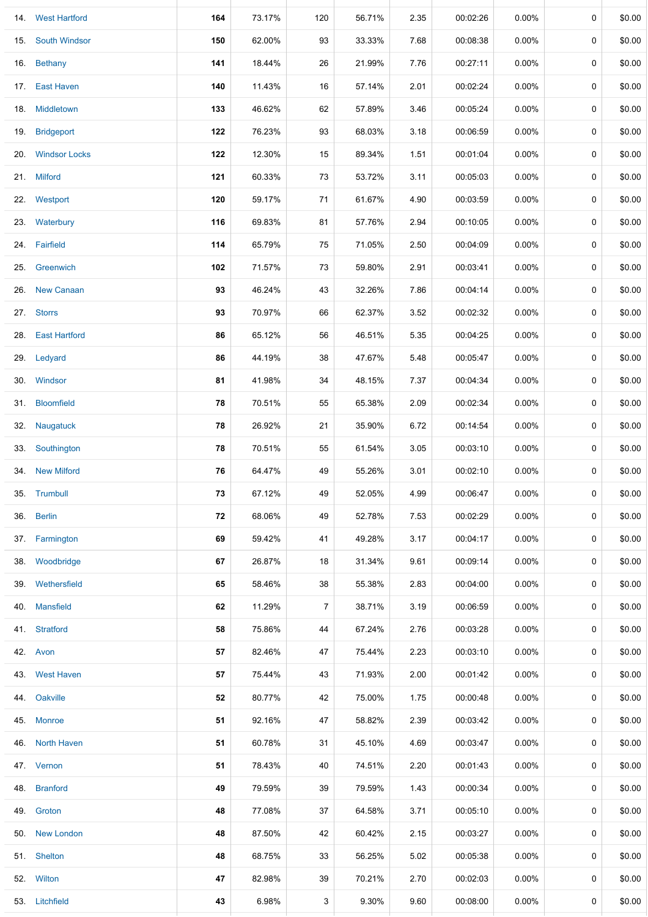| 14. West Hartford | 164 | 73.17% | 120            | 56.71% | 2.35 | 00:02:26 | $0.00\%$ | $\mathbf 0$ | \$0.00 |
|-------------------|-----|--------|----------------|--------|------|----------|----------|-------------|--------|
| 15. South Windsor | 150 | 62.00% | 93             | 33.33% | 7.68 | 00:08:38 | $0.00\%$ | 0           | \$0.00 |
| 16. Bethany       | 141 | 18.44% | 26             | 21.99% | 7.76 | 00:27:11 | 0.00%    | 0           | \$0.00 |
| 17. East Haven    | 140 | 11.43% | 16             | 57.14% | 2.01 | 00:02:24 | $0.00\%$ | 0           | \$0.00 |
| Middletown        | 133 | 46.62% | 62             | 57.89% | 3.46 | 00:05:24 | $0.00\%$ | 0           | \$0.00 |
| <b>Bridgeport</b> | 122 | 76.23% | 93             | 68.03% | 3.18 | 00:06:59 | $0.00\%$ | 0           | \$0.00 |
| 20. Windsor Locks | 122 | 12.30% | 15             | 89.34% | 1.51 | 00:01:04 | $0.00\%$ | $\mathbf 0$ | \$0.00 |
| 21. Milford       | 121 | 60.33% | 73             | 53.72% | 3.11 | 00:05:03 | 0.00%    | $\mathbf 0$ | \$0.00 |
| 22. Westport      | 120 | 59.17% | 71             | 61.67% | 4.90 | 00:03:59 | 0.00%    | $\mathbf 0$ | \$0.00 |
| 23. Waterbury     | 116 | 69.83% | 81             | 57.76% | 2.94 | 00:10:05 | 0.00%    | 0           | \$0.00 |
| 24. Fairfield     | 114 | 65.79% | 75             | 71.05% | 2.50 | 00:04:09 | 0.00%    | 0           | \$0.00 |
| 25. Greenwich     | 102 | 71.57% | 73             | 59.80% | 2.91 | 00:03:41 | $0.00\%$ | 0           | \$0.00 |
| 26. New Canaan    | 93  | 46.24% | 43             | 32.26% | 7.86 | 00:04:14 | $0.00\%$ | 0           | \$0.00 |
| 27. Storrs        | 93  | 70.97% | 66             | 62.37% | 3.52 | 00:02:32 | $0.00\%$ | 0           | \$0.00 |
| 28. East Hartford | 86  | 65.12% | 56             | 46.51% | 5.35 | 00:04:25 | $0.00\%$ | 0           | \$0.00 |
| 29. Ledyard       | 86  | 44.19% | 38             | 47.67% | 5.48 | 00:05:47 | $0.00\%$ | 0           | \$0.00 |
| 30. Windsor       | 81  | 41.98% | 34             | 48.15% | 7.37 | 00:04:34 | $0.00\%$ | 0           | \$0.00 |
| 31. Bloomfield    | 78  | 70.51% | 55             | 65.38% | 2.09 | 00:02:34 | 0.00%    | 0           | \$0.00 |
| 32. Naugatuck     | 78  | 26.92% | 21             | 35.90% | 6.72 | 00:14:54 | $0.00\%$ | 0           | \$0.00 |
| Southington       | 78  | 70.51% | 55             | 61.54% | 3.05 | 00:03:10 | $0.00\%$ | $\mathbf 0$ | \$0.00 |
| 34. New Milford   | 76  | 64.47% | 49             | 55.26% | 3.01 | 00:02:10 | $0.00\%$ | 0           | \$0.00 |
| 35. Trumbull      | 73  | 67.12% | 49             | 52.05% | 4.99 | 00:06:47 | $0.00\%$ | 0           | \$0.00 |
| 36. Berlin        | 72  | 68.06% | 49             | 52.78% | 7.53 | 00:02:29 | $0.00\%$ | 0           | \$0.00 |
| 37. Farmington    | 69  | 59.42% | 41             | 49.28% | 3.17 | 00:04:17 | $0.00\%$ | 0           | \$0.00 |
| 38. Woodbridge    | 67  | 26.87% | 18             | 31.34% | 9.61 | 00:09:14 | $0.00\%$ | 0           | \$0.00 |
| 39. Wethersfield  | 65  | 58.46% | 38             | 55.38% | 2.83 | 00:04:00 | $0.00\%$ | 0           | \$0.00 |
| 40. Mansfield     | 62  | 11.29% | $\overline{7}$ | 38.71% | 3.19 | 00:06:59 | $0.00\%$ | 0           | \$0.00 |
| 41. Stratford     | 58  | 75.86% | 44             | 67.24% | 2.76 | 00:03:28 | $0.00\%$ | 0           | \$0.00 |
| 42. Avon          | 57  | 82.46% | 47             | 75.44% | 2.23 | 00:03:10 | $0.00\%$ | 0           | \$0.00 |
| 43. West Haven    | 57  | 75.44% | 43             | 71.93% | 2.00 | 00:01:42 | $0.00\%$ | 0           | \$0.00 |
| Oakville          | 52  | 80.77% | 42             | 75.00% | 1.75 | 00:00:48 | $0.00\%$ | 0           | \$0.00 |
| 45. Monroe        | 51  | 92.16% | 47             | 58.82% | 2.39 | 00:03:42 | $0.00\%$ | 0           | \$0.00 |
| 46. North Haven   | 51  | 60.78% | 31             | 45.10% | 4.69 | 00:03:47 | $0.00\%$ | 0           | \$0.00 |
| 47. Vernon        | 51  | 78.43% | 40             | 74.51% | 2.20 | 00:01:43 | $0.00\%$ | 0           | \$0.00 |
| 48. Branford      | 49  | 79.59% | 39             | 79.59% | 1.43 | 00:00:34 | $0.00\%$ | 0           | \$0.00 |
| 49. Groton        | 48  | 77.08% | 37             | 64.58% | 3.71 | 00:05:10 | $0.00\%$ | 0           | \$0.00 |
| 50. New London    | 48  | 87.50% | 42             | 60.42% | 2.15 | 00:03:27 | $0.00\%$ | 0           | \$0.00 |
| 51. Shelton       | 48  | 68.75% | 33             | 56.25% | 5.02 | 00:05:38 | $0.00\%$ | 0           | \$0.00 |
| 52. Wilton        | 47  | 82.98% | 39             | 70.21% | 2.70 | 00:02:03 | $0.00\%$ | 0           | \$0.00 |
| 53. Litchfield    | 43  | 6.98%  | 3              | 9.30%  | 9.60 | 00:08:00 | 0.00%    | 0           | \$0.00 |
|                   |     |        |                |        |      |          |          |             |        |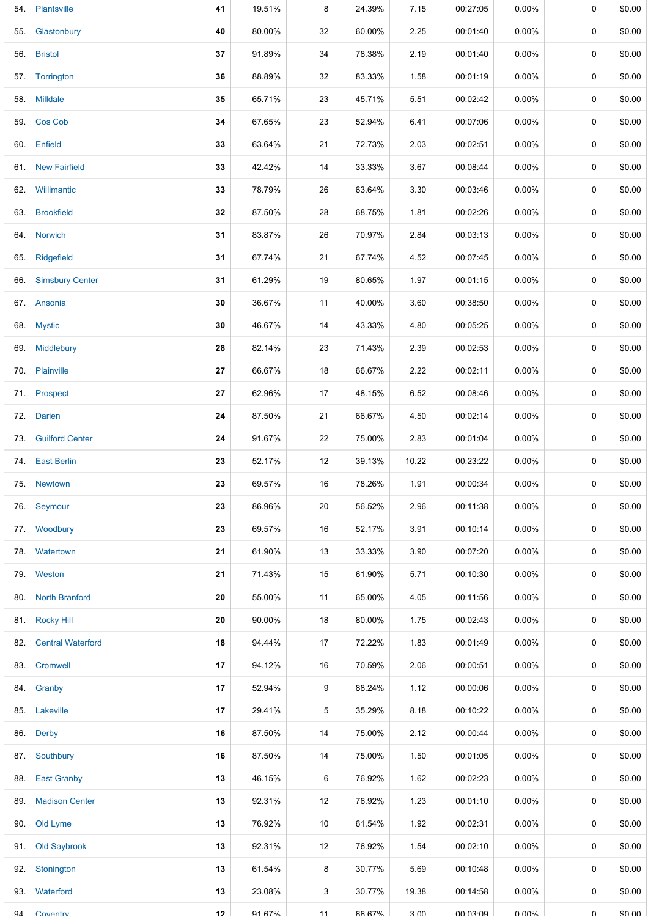| 54. | Plantsville              | 41 | 19.51%        | 8  | 24.39% | 7.15  | 00:27:05 | $0.00\%$ | 0      | \$0.00 |
|-----|--------------------------|----|---------------|----|--------|-------|----------|----------|--------|--------|
| 55. | Glastonbury              | 40 | 80.00%        | 32 | 60.00% | 2.25  | 00:01:40 | $0.00\%$ | 0      | \$0.00 |
|     | 56. Bristol              | 37 | 91.89%        | 34 | 78.38% | 2.19  | 00:01:40 | $0.00\%$ | 0      | \$0.00 |
|     | 57. Torrington           | 36 | 88.89%        | 32 | 83.33% | 1.58  | 00:01:19 | $0.00\%$ | 0      | \$0.00 |
|     | 58. Milldale             | 35 | 65.71%        | 23 | 45.71% | 5.51  | 00:02:42 | $0.00\%$ | 0      | \$0.00 |
|     | 59. Cos Cob              | 34 | 67.65%        | 23 | 52.94% | 6.41  | 00:07:06 | $0.00\%$ | 0      | \$0.00 |
|     | 60. Enfield              | 33 | 63.64%        | 21 | 72.73% | 2.03  | 00:02:51 | $0.00\%$ | 0      | \$0.00 |
|     | 61. New Fairfield        | 33 | 42.42%        | 14 | 33.33% | 3.67  | 00:08:44 | $0.00\%$ | 0      | \$0.00 |
|     | 62. Willimantic          | 33 | 78.79%        | 26 | 63.64% | 3.30  | 00:03:46 | $0.00\%$ | 0      | \$0.00 |
|     | 63. Brookfield           | 32 | 87.50%        | 28 | 68.75% | 1.81  | 00:02:26 | $0.00\%$ | 0      | \$0.00 |
|     | 64. Norwich              | 31 | 83.87%        | 26 | 70.97% | 2.84  | 00:03:13 | $0.00\%$ | 0      | \$0.00 |
| 65. | Ridgefield               | 31 | 67.74%        | 21 | 67.74% | 4.52  | 00:07:45 | $0.00\%$ | 0      | \$0.00 |
|     | 66. Simsbury Center      | 31 | 61.29%        | 19 | 80.65% | 1.97  | 00:01:15 | $0.00\%$ | 0      | \$0.00 |
|     | 67. Ansonia              | 30 | 36.67%        | 11 | 40.00% | 3.60  | 00:38:50 | $0.00\%$ | 0      | \$0.00 |
|     | 68. Mystic               | 30 | 46.67%        | 14 | 43.33% | 4.80  | 00:05:25 | $0.00\%$ | 0      | \$0.00 |
|     | 69. Middlebury           | 28 | 82.14%        | 23 | 71.43% | 2.39  | 00:02:53 | $0.00\%$ | 0      | \$0.00 |
|     | 70. Plainville           | 27 | 66.67%        | 18 | 66.67% | 2.22  | 00:02:11 | $0.00\%$ | 0      | \$0.00 |
|     | 71. Prospect             | 27 | 62.96%        | 17 | 48.15% | 6.52  | 00:08:46 | $0.00\%$ | 0      | \$0.00 |
|     | 72. Darien               | 24 | 87.50%        | 21 | 66.67% | 4.50  | 00:02:14 | $0.00\%$ | 0      | \$0.00 |
| 73. | <b>Guilford Center</b>   | 24 | 91.67%        | 22 | 75.00% | 2.83  | 00:01:04 | $0.00\%$ | 0      | \$0.00 |
|     | 74. East Berlin          | 23 | 52.17%        | 12 | 39.13% | 10.22 | 00:23:22 | $0.00\%$ | 0      | \$0.00 |
|     | 75. Newtown              | 23 | 69.57%        | 16 | 78.26% | 1.91  | 00:00:34 | $0.00\%$ | 0      | \$0.00 |
|     | 76. Seymour              | 23 | 86.96%        | 20 | 56.52% | 2.96  | 00:11:38 | $0.00\%$ | 0      | \$0.00 |
|     | 77. Woodbury             | 23 | 69.57%        | 16 | 52.17% | 3.91  | 00:10:14 | $0.00\%$ | 0      | \$0.00 |
| 78. | Watertown                | 21 | 61.90%        | 13 | 33.33% | 3.90  | 00:07:20 | $0.00\%$ | 0      | \$0.00 |
|     | 79. Weston               | 21 | 71.43%        | 15 | 61.90% | 5.71  | 00:10:30 | $0.00\%$ | 0      | \$0.00 |
|     | 80. North Branford       | 20 | 55.00%        | 11 | 65.00% | 4.05  | 00:11:56 | $0.00\%$ | 0      | \$0.00 |
|     | 81. Rocky Hill           | 20 | 90.00%        | 18 | 80.00% | 1.75  | 00:02:43 | $0.00\%$ | 0      | \$0.00 |
| 82. | <b>Central Waterford</b> | 18 | 94.44%        | 17 | 72.22% | 1.83  | 00:01:49 | $0.00\%$ | 0      | \$0.00 |
| 83. | Cromwell                 | 17 | 94.12%        | 16 | 70.59% | 2.06  | 00:00:51 | $0.00\%$ | 0      | \$0.00 |
|     | 84. Granby               | 17 | 52.94%        | 9  | 88.24% | 1.12  | 00:00:06 | $0.00\%$ | 0      | \$0.00 |
| 85. | Lakeville                | 17 | 29.41%        | 5  | 35.29% | 8.18  | 00:10:22 | $0.00\%$ | 0      | \$0.00 |
| 86. | Derby                    | 16 | 87.50%        | 14 | 75.00% | 2.12  | 00:00:44 | $0.00\%$ | 0      | \$0.00 |
| 87. | Southbury                | 16 | 87.50%        | 14 | 75.00% | 1.50  | 00:01:05 | $0.00\%$ | 0      | \$0.00 |
| 88. | <b>East Granby</b>       | 13 | 46.15%        | 6  | 76.92% | 1.62  | 00:02:23 | $0.00\%$ | 0      | \$0.00 |
| 89. | <b>Madison Center</b>    | 13 | 92.31%        | 12 | 76.92% | 1.23  | 00:01:10 | $0.00\%$ | 0      | \$0.00 |
| 90. | Old Lyme                 | 13 | 76.92%        | 10 | 61.54% | 1.92  | 00:02:31 | $0.00\%$ | 0      | \$0.00 |
| 91. | Old Saybrook             | 13 | 92.31%        | 12 | 76.92% | 1.54  | 00:02:10 | $0.00\%$ | 0      | \$0.00 |
| 92. | Stonington               | 13 | 61.54%        | 8  | 30.77% | 5.69  | 00:10:48 | $0.00\%$ | 0      | \$0.00 |
| 93. | Waterford                | 13 | 23.08%        | 3  | 30.77% | 19.38 | 00:14:58 | $0.00\%$ | 0      | \$0.00 |
| QΔ  | Coventry                 | 12 | <b>91 67%</b> | 11 | 66 67% | 3 UU  | 00.03.09 | ህ ሀሀላ"   | $\cap$ | \$0.00 |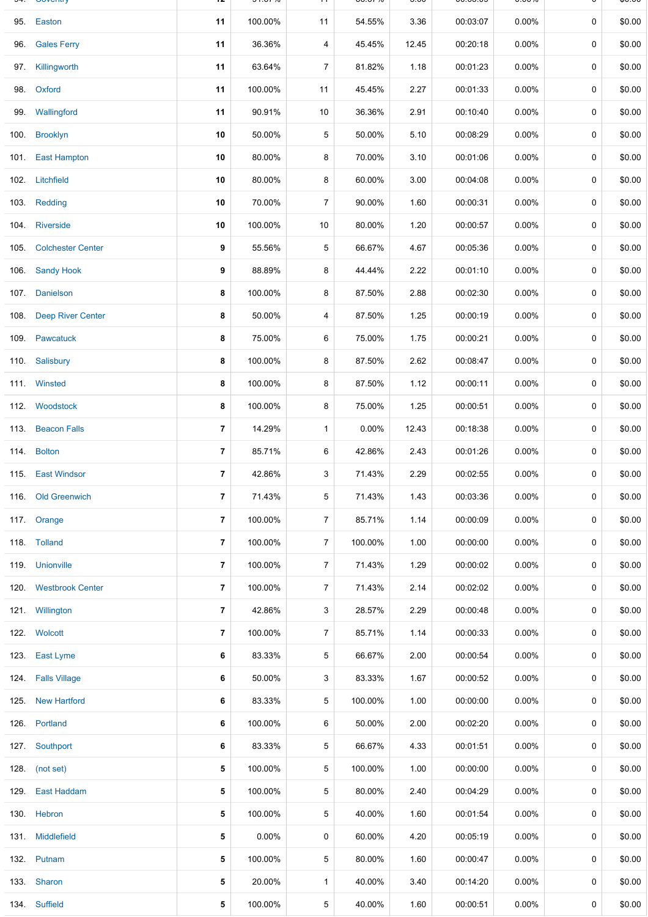|      | 95. Easton             | 11             | 100.00%  | 11             | 54.55%   | 3.36  | 00:03:07 | $0.00\%$ | $\mathbf 0$ | \$0.00 |
|------|------------------------|----------------|----------|----------------|----------|-------|----------|----------|-------------|--------|
|      | 96. Gales Ferry        | 11             | 36.36%   | 4              | 45.45%   | 12.45 | 00:20:18 | $0.00\%$ | 0           | \$0.00 |
|      | 97. Killingworth       | 11             | 63.64%   | $\overline{7}$ | 81.82%   | 1.18  | 00:01:23 | 0.00%    | 0           | \$0.00 |
|      | 98. Oxford             | 11             | 100.00%  | 11             | 45.45%   | 2.27  | 00:01:33 | $0.00\%$ | 0           | \$0.00 |
|      | 99. Wallingford        | 11             | 90.91%   | 10             | 36.36%   | 2.91  | 00:10:40 | $0.00\%$ | 0           | \$0.00 |
| 100. | <b>Brooklyn</b>        | 10             | 50.00%   | 5              | 50.00%   | 5.10  | 00:08:29 | $0.00\%$ | 0           | \$0.00 |
|      | 101. East Hampton      | 10             | 80.00%   | 8              | 70.00%   | 3.10  | 00:01:06 | 0.00%    | 0           | \$0.00 |
|      | 102. Litchfield        | 10             | 80.00%   | 8              | 60.00%   | 3.00  | 00:04:08 | $0.00\%$ | 0           | \$0.00 |
|      | 103. Redding           | 10             | 70.00%   | $\overline{7}$ | 90.00%   | 1.60  | 00:00:31 | $0.00\%$ | 0           | \$0.00 |
|      | 104. Riverside         | 10             | 100.00%  | 10             | 80.00%   | 1.20  | 00:00:57 | $0.00\%$ | 0           | \$0.00 |
|      | 105. Colchester Center | 9              | 55.56%   | 5              | 66.67%   | 4.67  | 00:05:36 | $0.00\%$ | 0           | \$0.00 |
|      | 106. Sandy Hook        | 9              | 88.89%   | 8              | 44.44%   | 2.22  | 00:01:10 | $0.00\%$ | 0           | \$0.00 |
|      | 107. Danielson         | 8              | 100.00%  | 8              | 87.50%   | 2.88  | 00:02:30 | $0.00\%$ | 0           | \$0.00 |
|      | 108. Deep River Center | 8              | 50.00%   | 4              | 87.50%   | 1.25  | 00:00:19 | $0.00\%$ | $\mathbf 0$ | \$0.00 |
|      | 109. Pawcatuck         | 8              | 75.00%   | 6              | 75.00%   | 1.75  | 00:00:21 | $0.00\%$ | 0           | \$0.00 |
|      | 110. Salisbury         | 8              | 100.00%  | 8              | 87.50%   | 2.62  | 00:08:47 | $0.00\%$ | 0           | \$0.00 |
|      | 111. Winsted           | 8              | 100.00%  | 8              | 87.50%   | 1.12  | 00:00:11 | $0.00\%$ | 0           | \$0.00 |
|      | 112. Woodstock         | 8              | 100.00%  | 8              | 75.00%   | 1.25  | 00:00:51 | 0.00%    | $\mathbf 0$ | \$0.00 |
|      | 113. Beacon Falls      | $\overline{7}$ | 14.29%   | $\mathbf{1}$   | $0.00\%$ | 12.43 | 00:18:38 | $0.00\%$ | 0           | \$0.00 |
|      | 114. Bolton            | $\overline{7}$ | 85.71%   | 6              | 42.86%   | 2.43  | 00:01:26 | 0.00%    | 0           | \$0.00 |
|      | 115. East Windsor      | $\overline{7}$ | 42.86%   | 3              | 71.43%   | 2.29  | 00:02:55 | $0.00\%$ | 0           | \$0.00 |
|      | 116. Old Greenwich     | 7              | 71.43%   | 5              | 71.43%   | 1.43  | 00:03:36 | $0.00\%$ | 0           | \$0.00 |
|      | 117. Orange            | $\overline{7}$ | 100.00%  | $\overline{7}$ | 85.71%   | 1.14  | 00:00:09 | $0.00\%$ | $\mathbf 0$ | \$0.00 |
|      | 118. Tolland           | 7              | 100.00%  | $\overline{7}$ | 100.00%  | 1.00  | 00:00:00 | $0.00\%$ | 0           | \$0.00 |
|      | 119. Unionville        | $\overline{7}$ | 100.00%  | $\overline{7}$ | 71.43%   | 1.29  | 00:00:02 | $0.00\%$ | 0           | \$0.00 |
|      | 120. Westbrook Center  | $\overline{7}$ | 100.00%  | $\overline{7}$ | 71.43%   | 2.14  | 00:02:02 | $0.00\%$ | 0           | \$0.00 |
|      | 121. Willington        | $\overline{7}$ | 42.86%   | 3              | 28.57%   | 2.29  | 00:00:48 | $0.00\%$ | $\mathbf 0$ | \$0.00 |
|      | 122. Wolcott           | $\overline{7}$ | 100.00%  | $\overline{7}$ | 85.71%   | 1.14  | 00:00:33 | $0.00\%$ | 0           | \$0.00 |
|      | 123. East Lyme         | 6              | 83.33%   | 5              | 66.67%   | 2.00  | 00:00:54 | $0.00\%$ | 0           | \$0.00 |
|      | 124. Falls Village     | 6              | 50.00%   | 3              | 83.33%   | 1.67  | 00:00:52 | $0.00\%$ | 0           | \$0.00 |
|      | 125. New Hartford      | 6              | 83.33%   | 5              | 100.00%  | 1.00  | 00:00:00 | $0.00\%$ | 0           | \$0.00 |
|      | 126. Portland          | 6              | 100.00%  | 6              | 50.00%   | 2.00  | 00:02:20 | $0.00\%$ | 0           | \$0.00 |
|      | 127. Southport         | 6              | 83.33%   | 5              | 66.67%   | 4.33  | 00:01:51 | $0.00\%$ | 0           | \$0.00 |
|      | 128. (not set)         | 5              | 100.00%  | 5              | 100.00%  | 1.00  | 00:00:00 | $0.00\%$ | 0           | \$0.00 |
|      | 129. East Haddam       | 5              | 100.00%  | 5              | 80.00%   | 2.40  | 00:04:29 | $0.00\%$ | 0           | \$0.00 |
|      | 130. Hebron            | 5              | 100.00%  | 5              | 40.00%   | 1.60  | 00:01:54 | $0.00\%$ | 0           | \$0.00 |
|      | 131. Middlefield       | 5              | $0.00\%$ | 0              | 60.00%   | 4.20  | 00:05:19 | $0.00\%$ | 0           | \$0.00 |
|      | 132. Putnam            | 5              | 100.00%  | 5              | 80.00%   | 1.60  | 00:00:47 | $0.00\%$ | 0           | \$0.00 |
|      | 133. Sharon            | 5              | 20.00%   | $\mathbf{1}$   | 40.00%   | 3.40  | 00:14:20 | $0.00\%$ | 0           | \$0.00 |
|      | 134. Suffield          | 5              | 100.00%  | 5              | 40.00%   | 1.60  | 00:00:51 | $0.00\%$ | 0           | \$0.00 |

94. Coventry **12** 91.67% 11 66.67% 3.00 00:03:09 0.00% 0 \$0.00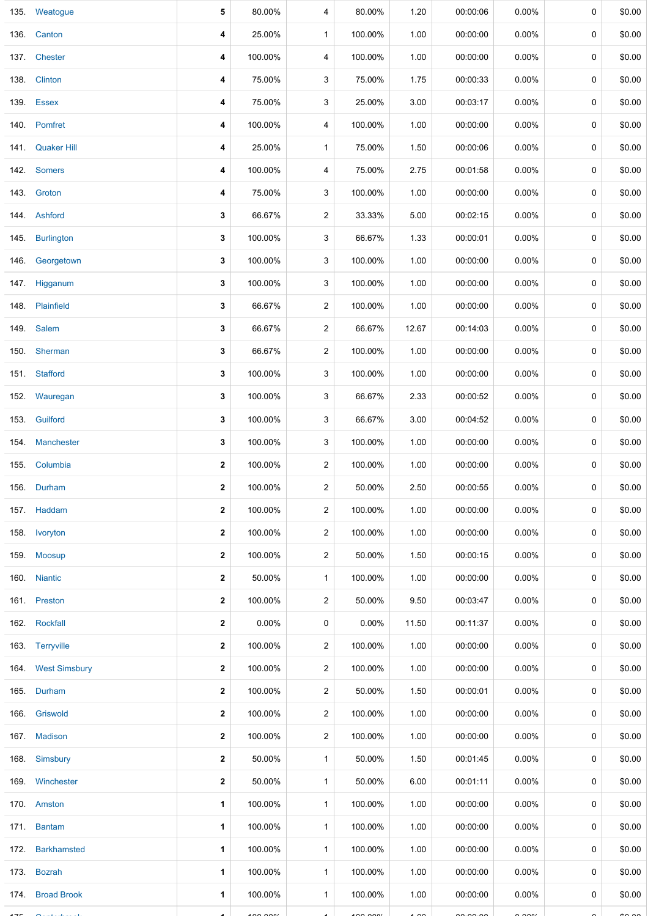|      | 135. Weatogue      | 5            | 80.00%         | 4              | 80.00%         | 1.20           | 00:00:06             | $0.00\%$             | 0 | \$0.00        |
|------|--------------------|--------------|----------------|----------------|----------------|----------------|----------------------|----------------------|---|---------------|
| 136. | Canton             | 4            | 25.00%         | $\mathbf{1}$   | 100.00%        | 1.00           | 00:00:00             | $0.00\%$             | 0 | \$0.00        |
| 137. | Chester            | 4            | 100.00%        | 4              | 100.00%        | 1.00           | 00:00:00             | $0.00\%$             | 0 | \$0.00        |
| 138. | <b>Clinton</b>     | 4            | 75.00%         | 3              | 75.00%         | 1.75           | 00:00:33             | 0.00%                | 0 | \$0.00        |
|      | 139. Essex         | 4            | 75.00%         | 3              | 25.00%         | 3.00           | 00:03:17             | $0.00\%$             | 0 | \$0.00        |
|      | 140. Pomfret       | 4            | 100.00%        | 4              | 100.00%        | 1.00           | 00:00:00             | $0.00\%$             | 0 | \$0.00        |
| 141. | <b>Quaker Hill</b> | 4            | 25.00%         | $\mathbf{1}$   | 75.00%         | 1.50           | 00:00:06             | $0.00\%$             | 0 | \$0.00        |
|      | 142. Somers        | 4            | 100.00%        | 4              | 75.00%         | 2.75           | 00:01:58             | $0.00\%$             | 0 | \$0.00        |
|      | 143. Groton        | 4            | 75.00%         | 3              | 100.00%        | 1.00           | 00:00:00             | $0.00\%$             | 0 | \$0.00        |
|      | 144. Ashford       | 3            | 66.67%         | $\overline{c}$ | 33.33%         | 5.00           | 00:02:15             | 0.00%                | 0 | \$0.00        |
|      | 145. Burlington    | 3            | 100.00%        | 3              | 66.67%         | 1.33           | 00:00:01             | $0.00\%$             | 0 | \$0.00        |
|      | 146. Georgetown    | 3            | 100.00%        | 3              | 100.00%        | 1.00           | 00:00:00             | 0.00%                | 0 | \$0.00        |
|      | 147. Higganum      | 3            | 100.00%        | 3              | 100.00%        | 1.00           | 00:00:00             | $0.00\%$             | 0 | \$0.00        |
|      | 148. Plainfield    | 3            | 66.67%         | $\overline{c}$ | 100.00%        | 1.00           | 00:00:00             | 0.00%                | 0 | \$0.00        |
| 149. | Salem              | 3            | 66.67%         | 2              | 66.67%         | 12.67          | 00:14:03             | 0.00%                | 0 | \$0.00        |
| 150. | Sherman            | 3            | 66.67%         | $\overline{c}$ | 100.00%        | 1.00           | 00:00:00             | 0.00%                | 0 | \$0.00        |
|      | 151. Stafford      | 3            | 100.00%        | 3              | 100.00%        | 1.00           | 00:00:00             | $0.00\%$             | 0 | \$0.00        |
| 152. | Wauregan           | 3            | 100.00%        | 3              | 66.67%         | 2.33           | 00:00:52             | 0.00%                | 0 | \$0.00        |
| 153. | Guilford           | 3            | 100.00%        | 3              | 66.67%         | 3.00           | 00:04:52             | 0.00%                | 0 | \$0.00        |
| 154. | Manchester         | 3            | 100.00%        | 3              | 100.00%        | 1.00           | 00:00:00             | $0.00\%$             | 0 | \$0.00        |
|      | 155. Columbia      | 2            | 100.00%        | $\overline{c}$ | 100.00%        | 1.00           | 00:00:00             | $0.00\%$             | 0 | \$0.00        |
|      | 156. Durham        | $\mathbf{2}$ | 100.00%        | 2              | 50.00%         | 2.50           | 00:00:55             | $0.00\%$             | 0 | \$0.00        |
|      | 157. Haddam        | $\mathbf{2}$ | 100.00%        | 2              | 100.00%        | 1.00           | 00:00:00             | $0.00\%$             | 0 | \$0.00        |
|      | 158. Ivoryton      | $\mathbf{2}$ | 100.00%        | $\overline{c}$ | 100.00%        | 1.00           | 00:00:00             | $0.00\%$             | 0 | \$0.00        |
|      | 159. Moosup        | $\mathbf{2}$ | 100.00%        | 2              | 50.00%         | 1.50           | 00:00:15             | $0.00\%$             | 0 | \$0.00        |
|      | 160. Niantic       | $\mathbf{2}$ | 50.00%         | $\mathbf{1}$   | 100.00%        | 1.00           | 00:00:00             | $0.00\%$             | 0 | \$0.00        |
|      | 161. Preston       | $\mathbf{2}$ | 100.00%        | 2              | 50.00%         | 9.50           | 00:03:47             | $0.00\%$             | 0 | \$0.00        |
|      | 162. Rockfall      | $\mathbf{2}$ | 0.00%          | 0              | $0.00\%$       | 11.50          | 00:11:37             | $0.00\%$             | 0 | \$0.00        |
|      | 163. Terryville    | $\mathbf{2}$ | 100.00%        | 2              | 100.00%        | 1.00           | 00:00:00             | $0.00\%$             | 0 | \$0.00        |
|      | 164. West Simsbury | 2            | 100.00%        | 2              | 100.00%        | 1.00           | 00:00:00             | $0.00\%$             | 0 | \$0.00        |
|      | 165. Durham        | $\mathbf{2}$ | 100.00%        | $\overline{c}$ | 50.00%         | 1.50           | 00:00:01             | $0.00\%$             | 0 | \$0.00        |
|      | 166. Griswold      | $\mathbf{2}$ | 100.00%        | $\overline{c}$ | 100.00%        | 1.00           | 00:00:00             | $0.00\%$             | 0 | \$0.00        |
|      | 167. Madison       | $\mathbf{2}$ | 100.00%        | 2              | 100.00%        | 1.00           | 00:00:00             | $0.00\%$             | 0 | \$0.00        |
|      | 168. Simsbury      | $\mathbf{2}$ | 50.00%         | $\mathbf{1}$   | 50.00%         | 1.50           | 00:01:45             | $0.00\%$             | 0 | \$0.00        |
|      | 169. Winchester    | $\mathbf{2}$ | 50.00%         | $\mathbf{1}$   | 50.00%         | 6.00           | 00:01:11             | $0.00\%$             | 0 | \$0.00        |
|      | 170. Amston        | 1            | 100.00%        | $\mathbf{1}$   | 100.00%        | 1.00           | 00:00:00             | $0.00\%$             | 0 | \$0.00        |
|      | 171. Bantam        | 1            | 100.00%        | $\mathbf{1}$   | 100.00%        | 1.00           | 00:00:00             | $0.00\%$             | 0 | \$0.00        |
|      | 172. Barkhamsted   | $\mathbf 1$  | 100.00%        | $\mathbf{1}$   | 100.00%        | 1.00           | 00:00:00             | $0.00\%$             | 0 | \$0.00        |
|      | 173. Bozrah        | $\mathbf 1$  | 100.00%        | $\mathbf{1}$   | 100.00%        | 1.00           | 00:00:00             | $0.00\%$             | 0 | \$0.00        |
|      | 174. Broad Brook   | $\mathbf 1$  | 100.00%        | $\mathbf{1}$   | 100.00%        | 1.00           | 00:00:00             | $0.00\%$             | 0 | \$0.00        |
|      |                    |              | $\overline{1}$ |                | $\overline{1}$ | $\overline{1}$ | $\sim$ $\sim$ $\sim$ | $\sim$ $\sim$ $\sim$ |   | $\sim$ $\sim$ |